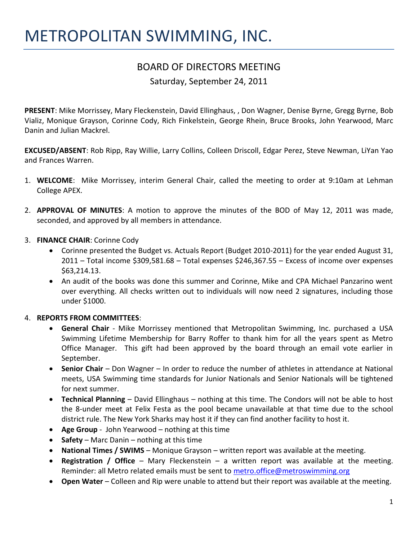# METROPOLITAN SWIMMING, INC.

## BOARD OF DIRECTORS MEETING

Saturday, September 24, 2011

**PRESENT**: Mike Morrissey, Mary Fleckenstein, David Ellinghaus, , Don Wagner, Denise Byrne, Gregg Byrne, Bob Vializ, Monique Grayson, Corinne Cody, Rich Finkelstein, George Rhein, Bruce Brooks, John Yearwood, Marc Danin and Julian Mackrel.

**EXCUSED/ABSENT**: Rob Ripp, Ray Willie, Larry Collins, Colleen Driscoll, Edgar Perez, Steve Newman, LiYan Yao and Frances Warren.

- 1. **WELCOME**: Mike Morrissey, interim General Chair, called the meeting to order at 9:10am at Lehman College APEX.
- 2. **APPROVAL OF MINUTES**: A motion to approve the minutes of the BOD of May 12, 2011 was made, seconded, and approved by all members in attendance.
- 3. **FINANCE CHAIR**: Corinne Cody
	- Corinne presented the Budget vs. Actuals Report (Budget 2010-2011) for the year ended August 31,  $2011$  – Total income \$309,581.68 – Total expenses \$246,367.55 – Excess of income over expenses \$63,214.13.
	- An audit of the books was done this summer and Corinne, Mike and CPA Michael Panzarino went over everything. All checks written out to individuals will now need 2 signatures, including those under \$1000.

### 4. **REPORTS FROM COMMITTEES**:

- **General Chair** Mike Morrissey mentioned that Metropolitan Swimming, Inc. purchased a USA Swimming Lifetime Membership for Barry Roffer to thank him for all the years spent as Metro Office Manager. This gift had been approved by the board through an email vote earlier in September.
- **Senior Chair** Don Wagner In order to reduce the number of athletes in attendance at National meets, USA Swimming time standards for Junior Nationals and Senior Nationals will be tightened for next summer.
- **Technical Planning** David Ellinghaus nothing at this time. The Condors will not be able to host the 8-under meet at Felix Festa as the pool became unavailable at that time due to the school district rule. The New York Sharks may host it if they can find another facility to host it.
- **Age Group**  John Yearwood nothing at this time
- **Safety**  Marc Danin nothing at this time
- **National Times / SWIMS** Monique Grayson written report was available at the meeting.
- **Registration / Office**  Mary Fleckenstein a written report was available at the meeting. Reminder: all Metro related emails must be sent to [metro.office@metroswimming.org](mailto:metro.office@metroswimming.org)
- **Open Water**  Colleen and Rip were unable to attend but their report was available at the meeting.